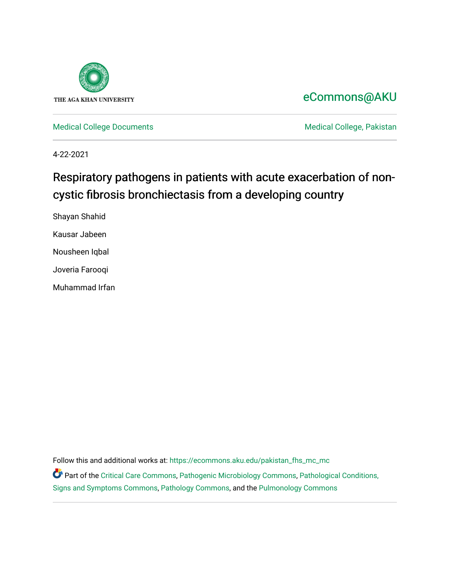

# [eCommons@AKU](https://ecommons.aku.edu/)

[Medical College Documents](https://ecommons.aku.edu/pakistan_fhs_mc_mc) **Medical College, Pakistan** 

4-22-2021

# Respiratory pathogens in patients with acute exacerbation of noncystic fibrosis bronchiectasis from a developing country

Shayan Shahid Kausar Jabeen Nousheen Iqbal

Joveria Farooqi

Muhammad Irfan

Follow this and additional works at: [https://ecommons.aku.edu/pakistan\\_fhs\\_mc\\_mc](https://ecommons.aku.edu/pakistan_fhs_mc_mc?utm_source=ecommons.aku.edu%2Fpakistan_fhs_mc_mc%2F201&utm_medium=PDF&utm_campaign=PDFCoverPages) 

Part of the [Critical Care Commons,](http://network.bepress.com/hgg/discipline/1226?utm_source=ecommons.aku.edu%2Fpakistan_fhs_mc_mc%2F201&utm_medium=PDF&utm_campaign=PDFCoverPages) [Pathogenic Microbiology Commons](http://network.bepress.com/hgg/discipline/52?utm_source=ecommons.aku.edu%2Fpakistan_fhs_mc_mc%2F201&utm_medium=PDF&utm_campaign=PDFCoverPages), [Pathological Conditions,](http://network.bepress.com/hgg/discipline/1004?utm_source=ecommons.aku.edu%2Fpakistan_fhs_mc_mc%2F201&utm_medium=PDF&utm_campaign=PDFCoverPages)  [Signs and Symptoms Commons,](http://network.bepress.com/hgg/discipline/1004?utm_source=ecommons.aku.edu%2Fpakistan_fhs_mc_mc%2F201&utm_medium=PDF&utm_campaign=PDFCoverPages) [Pathology Commons](http://network.bepress.com/hgg/discipline/699?utm_source=ecommons.aku.edu%2Fpakistan_fhs_mc_mc%2F201&utm_medium=PDF&utm_campaign=PDFCoverPages), and the [Pulmonology Commons](http://network.bepress.com/hgg/discipline/1363?utm_source=ecommons.aku.edu%2Fpakistan_fhs_mc_mc%2F201&utm_medium=PDF&utm_campaign=PDFCoverPages)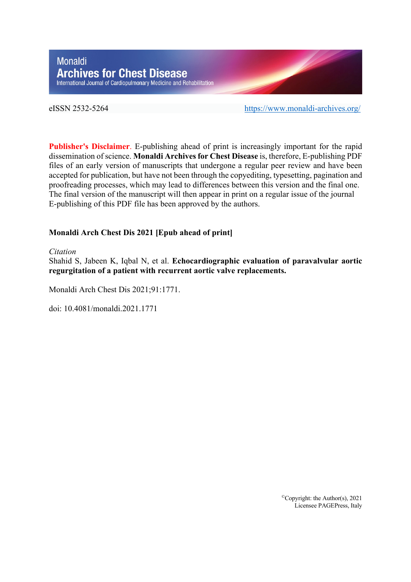# Monaldi **Archives for Chest Disease** International Journal of Cardiopulmonary Medicine and Rehabilitation

eISSN 2532-5264 https://www.monaldi-archives.org/

**Publisher's Disclaimer**. E-publishing ahead of print is increasingly important for the rapid dissemination of science. **Monaldi Archives for Chest Disease** is, therefore, E-publishing PDF files of an early version of manuscripts that undergone a regular peer review and have been accepted for publication, but have not been through the copyediting, typesetting, pagination and proofreading processes, which may lead to differences between this version and the final one. The final version of the manuscript will then appear in print on a regular issue of the journal E-publishing of this PDF file has been approved by the authors.

# **Monaldi Arch Chest Dis 2021 [Epub ahead of print]**

#### *Citation*

Shahid S, Jabeen K, Iqbal N, et al. **Echocardiographic evaluation of paravalvular aortic regurgitation of a patient with recurrent aortic valve replacements.**

Monaldi Arch Chest Dis 2021;91:1771.

doi: 10.4081/monaldi.2021.1771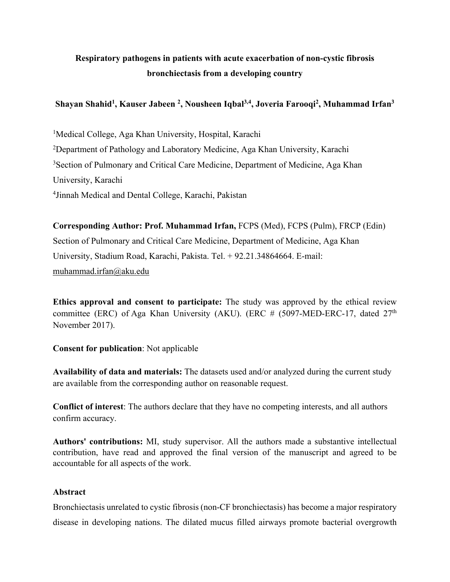# **Respiratory pathogens in patients with acute exacerbation of non-cystic fibrosis bronchiectasis from a developing country**

# **Shayan Shahid1 , Kauser Jabeen <sup>2</sup> , Nousheen Iqbal3,4 , Joveria Farooqi2 , Muhammad Irfan3**

<sup>1</sup>Medical College, Aga Khan University, Hospital, Karachi <sup>2</sup>Department of Pathology and Laboratory Medicine, Aga Khan University, Karachi <sup>3</sup> Section of Pulmonary and Critical Care Medicine, Department of Medicine, Aga Khan University, Karachi 4 Jinnah Medical and Dental College, Karachi, Pakistan

**Corresponding Author: Prof. Muhammad Irfan,** FCPS (Med), FCPS (Pulm), FRCP (Edin) Section of Pulmonary and Critical Care Medicine, Department of Medicine, Aga Khan University, Stadium Road, Karachi, Pakista. Tel. + 92.21.34864664. E-mail: muhammad.irfan@aku.edu

**Ethics approval and consent to participate:** The study was approved by the ethical review committee (ERC) of Aga Khan University (AKU). (ERC # (5097-MED-ERC-17, dated  $27<sup>th</sup>$ November 2017).

# **Consent for publication**: Not applicable

**Availability of data and materials:** The datasets used and/or analyzed during the current study are available from the corresponding author on reasonable request.

**Conflict of interest**: The authors declare that they have no competing interests, and all authors confirm accuracy.

**Authors' contributions:** MI, study supervisor. All the authors made a substantive intellectual contribution, have read and approved the final version of the manuscript and agreed to be accountable for all aspects of the work.

## **Abstract**

Bronchiectasis unrelated to cystic fibrosis (non-CF bronchiectasis) has become a major respiratory disease in developing nations. The dilated mucus filled airways promote bacterial overgrowth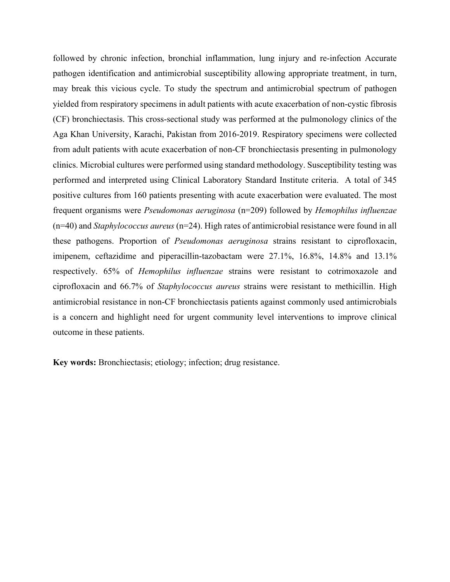followed by chronic infection, bronchial inflammation, lung injury and re-infection Accurate pathogen identification and antimicrobial susceptibility allowing appropriate treatment, in turn, may break this vicious cycle. To study the spectrum and antimicrobial spectrum of pathogen yielded from respiratory specimens in adult patients with acute exacerbation of non-cystic fibrosis (CF) bronchiectasis. This cross-sectional study was performed at the pulmonology clinics of the Aga Khan University, Karachi, Pakistan from 2016-2019. Respiratory specimens were collected from adult patients with acute exacerbation of non-CF bronchiectasis presenting in pulmonology clinics. Microbial cultures were performed using standard methodology. Susceptibility testing was performed and interpreted using Clinical Laboratory Standard Institute criteria. A total of 345 positive cultures from 160 patients presenting with acute exacerbation were evaluated. The most frequent organisms were *Pseudomonas aeruginosa* (n=209) followed by *Hemophilus influenzae* (n=40) and *Staphylococcus aureus* (n=24). High rates of antimicrobial resistance were found in all these pathogens. Proportion of *Pseudomonas aeruginosa* strains resistant to ciprofloxacin, imipenem, ceftazidime and piperacillin-tazobactam were 27.1%, 16.8%, 14.8% and 13.1% respectively. 65% of *Hemophilus influenzae* strains were resistant to cotrimoxazole and ciprofloxacin and 66.7% of *Staphylococcus aureus* strains were resistant to methicillin. High antimicrobial resistance in non-CF bronchiectasis patients against commonly used antimicrobials is a concern and highlight need for urgent community level interventions to improve clinical outcome in these patients.

**Key words:** Bronchiectasis; etiology; infection; drug resistance.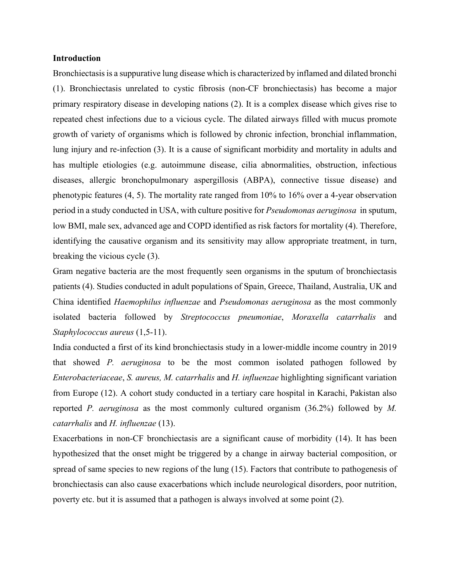### **Introduction**

Bronchiectasis is a suppurative lung disease which is characterized by inflamed and dilated bronchi (1). Bronchiectasis unrelated to cystic fibrosis (non-CF bronchiectasis) has become a major primary respiratory disease in developing nations (2). It is a complex disease which gives rise to repeated chest infections due to a vicious cycle. The dilated airways filled with mucus promote growth of variety of organisms which is followed by chronic infection, bronchial inflammation, lung injury and re-infection (3). It is a cause of significant morbidity and mortality in adults and has multiple etiologies (e.g. autoimmune disease, cilia abnormalities, obstruction, infectious diseases, allergic bronchopulmonary aspergillosis (ABPA), connective tissue disease) and phenotypic features (4, 5). The mortality rate ranged from 10% to 16% over a 4-year observation period in a study conducted in USA, with culture positive for *Pseudomonas aeruginosa* in sputum, low BMI, male sex, advanced age and COPD identified as risk factors for mortality (4). Therefore, identifying the causative organism and its sensitivity may allow appropriate treatment, in turn, breaking the vicious cycle (3).

Gram negative bacteria are the most frequently seen organisms in the sputum of bronchiectasis patients (4). Studies conducted in adult populations of Spain, Greece, Thailand, Australia, UK and China identified *Haemophilus influenzae* and *Pseudomonas aeruginosa* as the most commonly isolated bacteria followed by *Streptococcus pneumoniae*, *Moraxella catarrhalis* and *Staphylococcus aureus* (1,5-11).

India conducted a first of its kind bronchiectasis study in a lower-middle income country in 2019 that showed *P. aeruginosa* to be the most common isolated pathogen followed by *Enterobacteriaceae*, *S. aureus, M. catarrhalis* and *H. influenzae* highlighting significant variation from Europe (12). A cohort study conducted in a tertiary care hospital in Karachi, Pakistan also reported *P. aeruginosa* as the most commonly cultured organism (36.2%) followed by *M. catarrhalis* and *H. influenzae* (13).

Exacerbations in non-CF bronchiectasis are a significant cause of morbidity (14). It has been hypothesized that the onset might be triggered by a change in airway bacterial composition, or spread of same species to new regions of the lung (15). Factors that contribute to pathogenesis of bronchiectasis can also cause exacerbations which include neurological disorders, poor nutrition, poverty etc. but it is assumed that a pathogen is always involved at some point (2).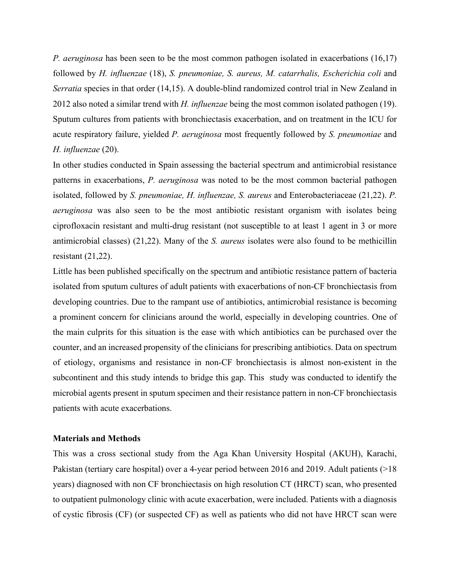*P. aeruginosa* has been seen to be the most common pathogen isolated in exacerbations (16,17) followed by *H. influenzae* (18), *S. pneumoniae, S. aureus, M. catarrhalis, Escherichia coli* and *Serratia* species in that order (14,15). A double-blind randomized control trial in New Zealand in 2012 also noted a similar trend with *H. influenzae* being the most common isolated pathogen (19). Sputum cultures from patients with bronchiectasis exacerbation, and on treatment in the ICU for acute respiratory failure, yielded *P. aeruginosa* most frequently followed by *S. pneumoniae* and *H. influenzae* (20).

In other studies conducted in Spain assessing the bacterial spectrum and antimicrobial resistance patterns in exacerbations, *P. aeruginosa* was noted to be the most common bacterial pathogen isolated, followed by *S. pneumoniae, H. influenzae, S. aureus* and Enterobacteriaceae (21,22). *P. aeruginosa* was also seen to be the most antibiotic resistant organism with isolates being ciprofloxacin resistant and multi-drug resistant (not susceptible to at least 1 agent in 3 or more antimicrobial classes) (21,22). Many of the *S. aureus* isolates were also found to be methicillin resistant (21,22).

Little has been published specifically on the spectrum and antibiotic resistance pattern of bacteria isolated from sputum cultures of adult patients with exacerbations of non-CF bronchiectasis from developing countries. Due to the rampant use of antibiotics, antimicrobial resistance is becoming a prominent concern for clinicians around the world, especially in developing countries. One of the main culprits for this situation is the ease with which antibiotics can be purchased over the counter, and an increased propensity of the clinicians for prescribing antibiotics. Data on spectrum of etiology, organisms and resistance in non-CF bronchiectasis is almost non-existent in the subcontinent and this study intends to bridge this gap. This study was conducted to identify the microbial agents present in sputum specimen and their resistance pattern in non-CF bronchiectasis patients with acute exacerbations.

#### **Materials and Methods**

This was a cross sectional study from the Aga Khan University Hospital (AKUH), Karachi, Pakistan (tertiary care hospital) over a 4-year period between 2016 and 2019. Adult patients (>18 years) diagnosed with non CF bronchiectasis on high resolution CT (HRCT) scan, who presented to outpatient pulmonology clinic with acute exacerbation, were included. Patients with a diagnosis of cystic fibrosis (CF) (or suspected CF) as well as patients who did not have HRCT scan were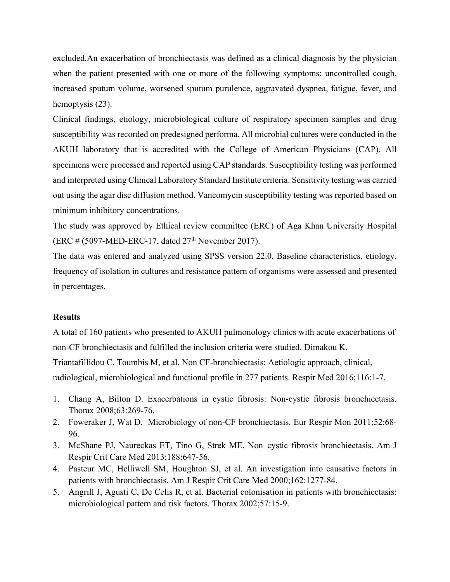excluded.An exacerbation of bronchiectasis was defined as a clinical diagnosis by the physician when the patient presented with one or more of the following symptoms: uncontrolled cough, increased sputum volume, worsened sputum purulence, aggravated dyspnea, fatigue, fever, and hemoptysis  $(23)$ .

Clinical findings, etiology, microbiological culture of respiratory specimen samples and drug susceptibility was recorded on predesigned performa. All microbial cultures were conducted in the AKUH laboratory that is accredited with the College of American Physicians (CAP). All specimens were processed and reported using CAP standards. Susceptibility testing was performed and interpreted using Clinical Laboratory Standard Institute criteria. Sensitivity testing was carried out using the agar disc diffusion method. Vancomycin susceptibility testing was reported based on minimum inhibitory concentrations.

The study was approved by Ethical review committee (ERC) of Aga Khan University Hospital (ERC # (5097-MED-ERC-17, dated 27<sup>th</sup> November 2017).

The data was entered and analyzed using SPSS version 22.0. Baseline characteristics, etiology, frequency of isolation in cultures and resistance pattern of organisms were assessed and presented in percentages.

### **Results**

A total of 160 patients who presented to AKUH pulmonology clinics with acute exacerbations of non-CF bronchiectasis and fulfilled the inclusion criteria were studied. Dimakou K, Triantafillidou C, Toumbis M, et al. Non CF-bronchiectasis: Aetiologic approach, clinical, radiological, microbiological and functional profile in 277 patients. Respir Med 2016;116:1-7.

- 1. Chang A, Bilton D. Exacerbations in cystic fibrosis: Non-cystic fibrosis bronchiectasis. Thorax 2008;63:269-76.
- 2. Foweraker J, Wat D. Microbiology of non-CF bronchiectasis. Eur Respir Mon 2011;52:68- 96.
- 3. McShane PJ, Naureckas ET, Tino G, Strek ME. Non–cystic fibrosis bronchiectasis. Am J Respir Crit Care Med 2013;188:647-56.
- 4. Pasteur MC, Helliwell SM, Houghton SJ, et al. An investigation into causative factors in patients with bronchiectasis. Am J Respir Crit Care Med 2000;162:1277-84.
- 5. Angrill J, Agusti C, De Celis R, et al. Bacterial colonisation in patients with bronchiectasis: microbiological pattern and risk factors. Thorax 2002;57:15-9.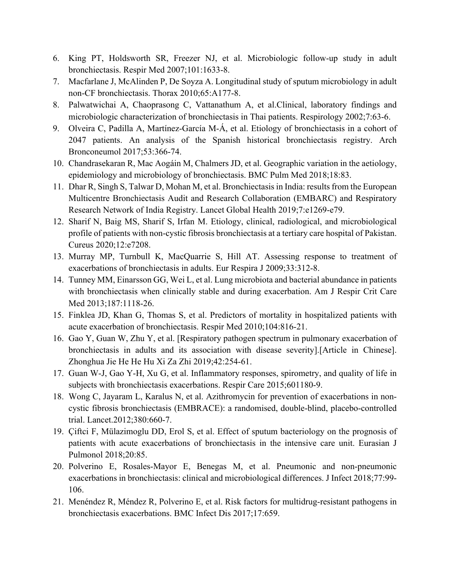- 6. King PT, Holdsworth SR, Freezer NJ, et al. Microbiologic follow-up study in adult bronchiectasis. Respir Med 2007;101:1633-8.
- 7. Macfarlane J, McAlinden P, De Soyza A. Longitudinal study of sputum microbiology in adult non-CF bronchiectasis. Thorax 2010;65:A177-8.
- 8. Palwatwichai A, Chaoprasong C, Vattanathum A, et al.Clinical, laboratory findings and microbiologic characterization of bronchiectasis in Thai patients. Respirology 2002;7:63-6.
- 9. Olveira C, Padilla A, Martínez-García M-Á, et al. Etiology of bronchiectasis in a cohort of 2047 patients. An analysis of the Spanish historical bronchiectasis registry. Arch Bronconeumol 2017;53:366-74.
- 10. Chandrasekaran R, Mac Aogáin M, Chalmers JD, et al. Geographic variation in the aetiology, epidemiology and microbiology of bronchiectasis. BMC Pulm Med 2018;18:83.
- 11. Dhar R, Singh S, Talwar D, Mohan M, et al. Bronchiectasis in India: results from the European Multicentre Bronchiectasis Audit and Research Collaboration (EMBARC) and Respiratory Research Network of India Registry. Lancet Global Health 2019;7:e1269-e79.
- 12. Sharif N, Baig MS, Sharif S, Irfan M. Etiology, clinical, radiological, and microbiological profile of patients with non-cystic fibrosis bronchiectasis at a tertiary care hospital of Pakistan. Cureus 2020;12:e7208.
- 13. Murray MP, Turnbull K, MacQuarrie S, Hill AT. Assessing response to treatment of exacerbations of bronchiectasis in adults. Eur Respira J 2009;33:312-8.
- 14. Tunney MM, Einarsson GG, Wei L, et al. Lung microbiota and bacterial abundance in patients with bronchiectasis when clinically stable and during exacerbation. Am J Respir Crit Care Med 2013;187:1118-26.
- 15. Finklea JD, Khan G, Thomas S, et al. Predictors of mortality in hospitalized patients with acute exacerbation of bronchiectasis. Respir Med 2010;104:816-21.
- 16. Gao Y, Guan W, Zhu Y, et al. [Respiratory pathogen spectrum in pulmonary exacerbation of bronchiectasis in adults and its association with disease severity].[Article in Chinese]. Zhonghua Jie He He Hu Xi Za Zhi 2019;42:254-61.
- 17. Guan W-J, Gao Y-H, Xu G, et al. Inflammatory responses, spirometry, and quality of life in subjects with bronchiectasis exacerbations. Respir Care 2015;601180-9.
- 18. Wong C, Jayaram L, Karalus N, et al. Azithromycin for prevention of exacerbations in noncystic fibrosis bronchiectasis (EMBRACE): a randomised, double-blind, placebo-controlled trial. Lancet.2012;380:660-7.
- 19. Çiftci F, Mülazimoglu DD, Erol S, et al. Effect of sputum bacteriology on the prognosis of patients with acute exacerbations of bronchiectasis in the intensive care unit. Eurasian J Pulmonol 2018;20:85.
- 20. Polverino E, Rosales-Mayor E, Benegas M, et al. Pneumonic and non-pneumonic exacerbations in bronchiectasis: clinical and microbiological differences. J Infect 2018;77:99- 106.
- 21. Menéndez R, Méndez R, Polverino E, et al. Risk factors for multidrug-resistant pathogens in bronchiectasis exacerbations. BMC Infect Dis 2017;17:659.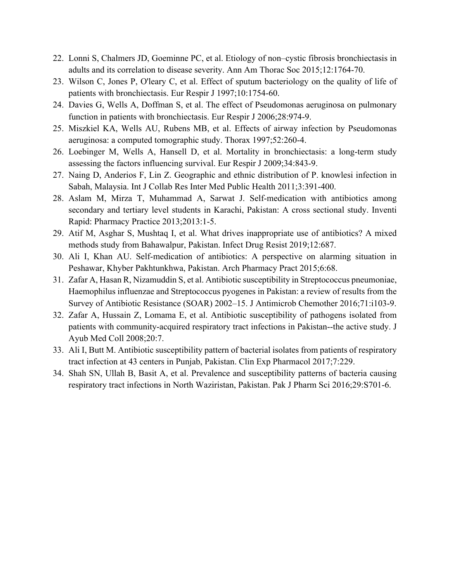- 22. Lonni S, Chalmers JD, Goeminne PC, et al. Etiology of non–cystic fibrosis bronchiectasis in adults and its correlation to disease severity. Ann Am Thorac Soc 2015;12:1764-70.
- 23. Wilson C, Jones P, O'leary C, et al. Effect of sputum bacteriology on the quality of life of patients with bronchiectasis. Eur Respir J 1997;10:1754-60.
- 24. Davies G, Wells A, Doffman S, et al. The effect of Pseudomonas aeruginosa on pulmonary function in patients with bronchiectasis. Eur Respir J 2006;28:974-9.
- 25. Miszkiel KA, Wells AU, Rubens MB, et al. Effects of airway infection by Pseudomonas aeruginosa: a computed tomographic study. Thorax 1997;52:260-4.
- 26. Loebinger M, Wells A, Hansell D, et al. Mortality in bronchiectasis: a long-term study assessing the factors influencing survival. Eur Respir J 2009;34:843-9.
- 27. Naing D, Anderios F, Lin Z. Geographic and ethnic distribution of P. knowlesi infection in Sabah, Malaysia. Int J Collab Res Inter Med Public Health 2011;3:391-400.
- 28. Aslam M, Mirza T, Muhammad A, Sarwat J. Self-medication with antibiotics among secondary and tertiary level students in Karachi, Pakistan: A cross sectional study. Inventi Rapid: Pharmacy Practice 2013;2013:1-5.
- 29. Atif M, Asghar S, Mushtaq I, et al. What drives inappropriate use of antibiotics? A mixed methods study from Bahawalpur, Pakistan. Infect Drug Resist 2019;12:687.
- 30. Ali I, Khan AU. Self-medication of antibiotics: A perspective on alarming situation in Peshawar, Khyber Pakhtunkhwa, Pakistan. Arch Pharmacy Pract 2015;6:68.
- 31. Zafar A, Hasan R, Nizamuddin S, et al. Antibiotic susceptibility in Streptococcus pneumoniae, Haemophilus influenzae and Streptococcus pyogenes in Pakistan: a review of results from the Survey of Antibiotic Resistance (SOAR) 2002–15. J Antimicrob Chemother 2016;71:i103-9.
- 32. Zafar A, Hussain Z, Lomama E, et al. Antibiotic susceptibility of pathogens isolated from patients with community-acquired respiratory tract infections in Pakistan--the active study. J Ayub Med Coll 2008;20:7.
- 33. Ali I, Butt M. Antibiotic susceptibility pattern of bacterial isolates from patients of respiratory tract infection at 43 centers in Punjab, Pakistan. Clin Exp Pharmacol 2017;7:229.
- 34. Shah SN, Ullah B, Basit A, et al. Prevalence and susceptibility patterns of bacteria causing respiratory tract infections in North Waziristan, Pakistan. Pak J Pharm Sci 2016;29:S701-6.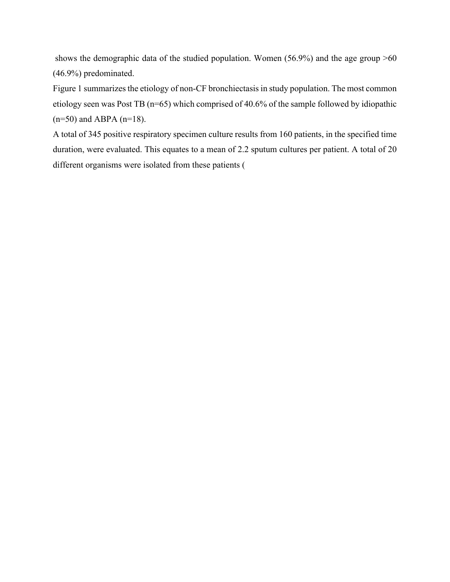shows the demographic data of the studied population. Women (56.9%) and the age group >60 (46.9%) predominated.

Figure 1 summarizes the etiology of non-CF bronchiectasis in study population. The most common etiology seen was Post TB (n=65) which comprised of 40.6% of the sample followed by idiopathic  $(n=50)$  and ABPA  $(n=18)$ .

A total of 345 positive respiratory specimen culture results from 160 patients, in the specified time duration, were evaluated. This equates to a mean of 2.2 sputum cultures per patient. A total of 20 different organisms were isolated from these patients (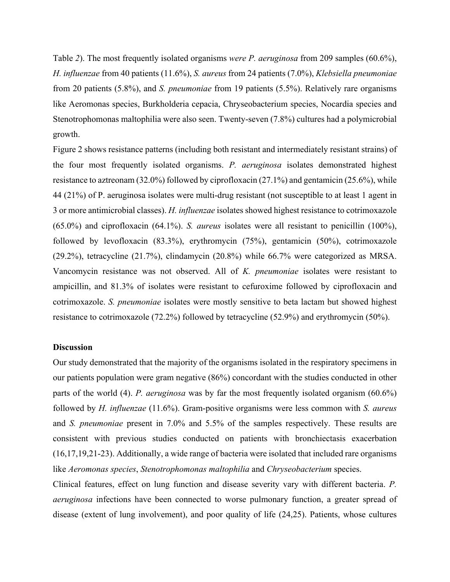Table *2*). The most frequently isolated organisms *were P. aeruginosa* from 209 samples (60.6%), *H. influenzae* from 40 patients (11.6%), *S. aureus* from 24 patients (7.0%), *Klebsiella pneumoniae* from 20 patients (5.8%), and *S. pneumoniae* from 19 patients (5.5%). Relatively rare organisms like Aeromonas species, Burkholderia cepacia, Chryseobacterium species, Nocardia species and Stenotrophomonas maltophilia were also seen. Twenty-seven (7.8%) cultures had a polymicrobial growth.

Figure 2 shows resistance patterns (including both resistant and intermediately resistant strains) of the four most frequently isolated organisms. *P. aeruginosa* isolates demonstrated highest resistance to aztreonam (32.0%) followed by ciprofloxacin (27.1%) and gentamicin (25.6%), while 44 (21%) of P. aeruginosa isolates were multi-drug resistant (not susceptible to at least 1 agent in 3 or more antimicrobial classes). *H. influenzae* isolates showed highest resistance to cotrimoxazole (65.0%) and ciprofloxacin (64.1%). *S. aureus* isolates were all resistant to penicillin (100%), followed by levofloxacin (83.3%), erythromycin (75%), gentamicin (50%), cotrimoxazole (29.2%), tetracycline (21.7%), clindamycin (20.8%) while 66.7% were categorized as MRSA. Vancomycin resistance was not observed. All of *K. pneumoniae* isolates were resistant to ampicillin, and 81.3% of isolates were resistant to cefuroxime followed by ciprofloxacin and cotrimoxazole. *S. pneumoniae* isolates were mostly sensitive to beta lactam but showed highest resistance to cotrimoxazole (72.2%) followed by tetracycline (52.9%) and erythromycin (50%).

#### **Discussion**

Our study demonstrated that the majority of the organisms isolated in the respiratory specimens in our patients population were gram negative (86%) concordant with the studies conducted in other parts of the world (4). *P. aeruginosa* was by far the most frequently isolated organism (60.6%) followed by *H. influenzae* (11.6%). Gram-positive organisms were less common with *S. aureus* and *S. pneumoniae* present in 7.0% and 5.5% of the samples respectively. These results are consistent with previous studies conducted on patients with bronchiectasis exacerbation (16,17,19,21-23). Additionally, a wide range of bacteria were isolated that included rare organisms like *Aeromonas species*, *Stenotrophomonas maltophilia* and *Chryseobacterium* species.

Clinical features, effect on lung function and disease severity vary with different bacteria. *P. aeruginosa* infections have been connected to worse pulmonary function, a greater spread of disease (extent of lung involvement), and poor quality of life (24,25). Patients, whose cultures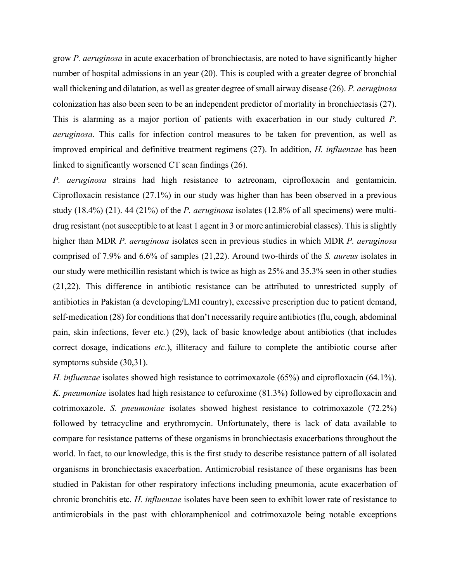grow *P. aeruginosa* in acute exacerbation of bronchiectasis, are noted to have significantly higher number of hospital admissions in an year (20). This is coupled with a greater degree of bronchial wall thickening and dilatation, as well as greater degree of small airway disease (26). *P. aeruginosa* colonization has also been seen to be an independent predictor of mortality in bronchiectasis (27). This is alarming as a major portion of patients with exacerbation in our study cultured *P. aeruginosa*. This calls for infection control measures to be taken for prevention, as well as improved empirical and definitive treatment regimens (27). In addition, *H. influenzae* has been linked to significantly worsened CT scan findings (26).

*P. aeruginosa* strains had high resistance to aztreonam, ciprofloxacin and gentamicin. Ciprofloxacin resistance (27.1%) in our study was higher than has been observed in a previous study (18.4%) (21). 44 (21%) of the *P. aeruginosa* isolates (12.8% of all specimens) were multidrug resistant (not susceptible to at least 1 agent in 3 or more antimicrobial classes). This is slightly higher than MDR *P. aeruginosa* isolates seen in previous studies in which MDR *P. aeruginosa* comprised of 7.9% and 6.6% of samples (21,22). Around two-thirds of the *S. aureus* isolates in our study were methicillin resistant which is twice as high as 25% and 35.3% seen in other studies (21,22). This difference in antibiotic resistance can be attributed to unrestricted supply of antibiotics in Pakistan (a developing/LMI country), excessive prescription due to patient demand, self-medication (28) for conditions that don't necessarily require antibiotics (flu, cough, abdominal pain, skin infections, fever etc.) (29), lack of basic knowledge about antibiotics (that includes correct dosage, indications *etc*.), illiteracy and failure to complete the antibiotic course after symptoms subside (30,31).

*H. influenzae* isolates showed high resistance to cotrimoxazole (65%) and ciprofloxacin (64.1%). *K. pneumoniae* isolates had high resistance to cefuroxime (81.3%) followed by ciprofloxacin and cotrimoxazole. *S. pneumoniae* isolates showed highest resistance to cotrimoxazole (72.2%) followed by tetracycline and erythromycin. Unfortunately, there is lack of data available to compare for resistance patterns of these organisms in bronchiectasis exacerbations throughout the world. In fact, to our knowledge, this is the first study to describe resistance pattern of all isolated organisms in bronchiectasis exacerbation. Antimicrobial resistance of these organisms has been studied in Pakistan for other respiratory infections including pneumonia, acute exacerbation of chronic bronchitis etc. *H. influenzae* isolates have been seen to exhibit lower rate of resistance to antimicrobials in the past with chloramphenicol and cotrimoxazole being notable exceptions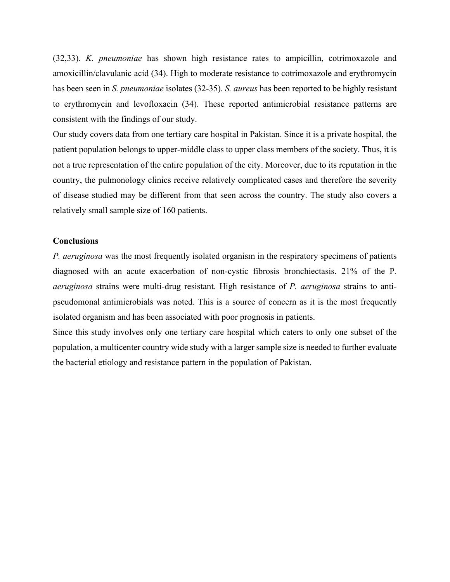(32,33). *K. pneumoniae* has shown high resistance rates to ampicillin, cotrimoxazole and amoxicillin/clavulanic acid (34). High to moderate resistance to cotrimoxazole and erythromycin has been seen in *S. pneumoniae* isolates (32-35). *S. aureus* has been reported to be highly resistant to erythromycin and levofloxacin (34). These reported antimicrobial resistance patterns are consistent with the findings of our study.

Our study covers data from one tertiary care hospital in Pakistan. Since it is a private hospital, the patient population belongs to upper-middle class to upper class members of the society. Thus, it is not a true representation of the entire population of the city. Moreover, due to its reputation in the country, the pulmonology clinics receive relatively complicated cases and therefore the severity of disease studied may be different from that seen across the country. The study also covers a relatively small sample size of 160 patients.

#### **Conclusions**

*P. aeruginosa* was the most frequently isolated organism in the respiratory specimens of patients diagnosed with an acute exacerbation of non-cystic fibrosis bronchiectasis. 21% of the P*. aeruginosa* strains were multi-drug resistant. High resistance of *P. aeruginosa* strains to antipseudomonal antimicrobials was noted. This is a source of concern as it is the most frequently isolated organism and has been associated with poor prognosis in patients.

Since this study involves only one tertiary care hospital which caters to only one subset of the population, a multicenter country wide study with a larger sample size is needed to further evaluate the bacterial etiology and resistance pattern in the population of Pakistan.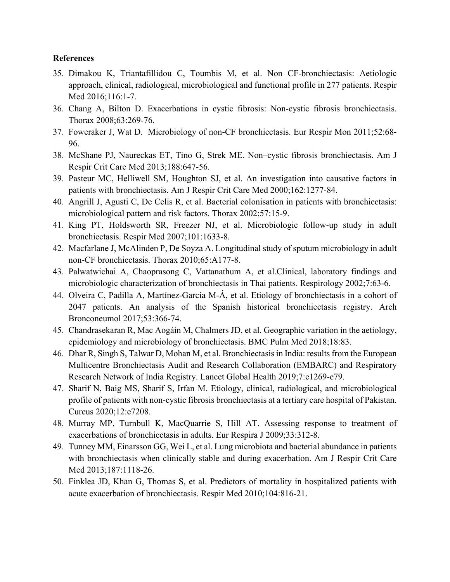### **References**

- 35. Dimakou K, Triantafillidou C, Toumbis M, et al. Non CF-bronchiectasis: Aetiologic approach, clinical, radiological, microbiological and functional profile in 277 patients. Respir Med 2016;116:1-7.
- 36. Chang A, Bilton D. Exacerbations in cystic fibrosis: Non-cystic fibrosis bronchiectasis. Thorax 2008;63:269-76.
- 37. Foweraker J, Wat D. Microbiology of non-CF bronchiectasis. Eur Respir Mon 2011;52:68- 96.
- 38. McShane PJ, Naureckas ET, Tino G, Strek ME. Non–cystic fibrosis bronchiectasis. Am J Respir Crit Care Med 2013;188:647-56.
- 39. Pasteur MC, Helliwell SM, Houghton SJ, et al. An investigation into causative factors in patients with bronchiectasis. Am J Respir Crit Care Med 2000;162:1277-84.
- 40. Angrill J, Agusti C, De Celis R, et al. Bacterial colonisation in patients with bronchiectasis: microbiological pattern and risk factors. Thorax 2002;57:15-9.
- 41. King PT, Holdsworth SR, Freezer NJ, et al. Microbiologic follow-up study in adult bronchiectasis. Respir Med 2007;101:1633-8.
- 42. Macfarlane J, McAlinden P, De Soyza A. Longitudinal study of sputum microbiology in adult non-CF bronchiectasis. Thorax 2010;65:A177-8.
- 43. Palwatwichai A, Chaoprasong C, Vattanathum A, et al.Clinical, laboratory findings and microbiologic characterization of bronchiectasis in Thai patients. Respirology 2002;7:63-6.
- 44. Olveira C, Padilla A, Martínez-García M-Á, et al. Etiology of bronchiectasis in a cohort of 2047 patients. An analysis of the Spanish historical bronchiectasis registry. Arch Bronconeumol 2017;53:366-74.
- 45. Chandrasekaran R, Mac Aogáin M, Chalmers JD, et al. Geographic variation in the aetiology, epidemiology and microbiology of bronchiectasis. BMC Pulm Med 2018;18:83.
- 46. Dhar R, Singh S, Talwar D, Mohan M, et al. Bronchiectasis in India: results from the European Multicentre Bronchiectasis Audit and Research Collaboration (EMBARC) and Respiratory Research Network of India Registry. Lancet Global Health 2019;7:e1269-e79.
- 47. Sharif N, Baig MS, Sharif S, Irfan M. Etiology, clinical, radiological, and microbiological profile of patients with non-cystic fibrosis bronchiectasis at a tertiary care hospital of Pakistan. Cureus 2020;12:e7208.
- 48. Murray MP, Turnbull K, MacQuarrie S, Hill AT. Assessing response to treatment of exacerbations of bronchiectasis in adults. Eur Respira J 2009;33:312-8.
- 49. Tunney MM, Einarsson GG, Wei L, et al. Lung microbiota and bacterial abundance in patients with bronchiectasis when clinically stable and during exacerbation. Am J Respir Crit Care Med 2013;187:1118-26.
- 50. Finklea JD, Khan G, Thomas S, et al. Predictors of mortality in hospitalized patients with acute exacerbation of bronchiectasis. Respir Med 2010;104:816-21.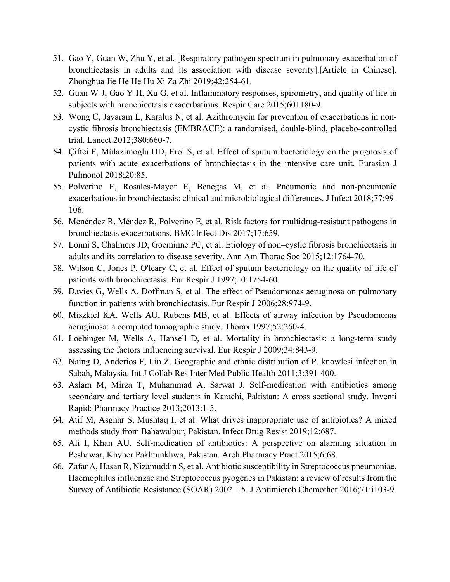- 51. Gao Y, Guan W, Zhu Y, et al. [Respiratory pathogen spectrum in pulmonary exacerbation of bronchiectasis in adults and its association with disease severity].[Article in Chinese]. Zhonghua Jie He He Hu Xi Za Zhi 2019;42:254-61.
- 52. Guan W-J, Gao Y-H, Xu G, et al. Inflammatory responses, spirometry, and quality of life in subjects with bronchiectasis exacerbations. Respir Care 2015;601180-9.
- 53. Wong C, Jayaram L, Karalus N, et al. Azithromycin for prevention of exacerbations in noncystic fibrosis bronchiectasis (EMBRACE): a randomised, double-blind, placebo-controlled trial. Lancet.2012;380:660-7.
- 54. Çiftci F, Mülazimoglu DD, Erol S, et al. Effect of sputum bacteriology on the prognosis of patients with acute exacerbations of bronchiectasis in the intensive care unit. Eurasian J Pulmonol 2018;20:85.
- 55. Polverino E, Rosales-Mayor E, Benegas M, et al. Pneumonic and non-pneumonic exacerbations in bronchiectasis: clinical and microbiological differences. J Infect 2018;77:99- 106.
- 56. Menéndez R, Méndez R, Polverino E, et al. Risk factors for multidrug-resistant pathogens in bronchiectasis exacerbations. BMC Infect Dis 2017;17:659.
- 57. Lonni S, Chalmers JD, Goeminne PC, et al. Etiology of non–cystic fibrosis bronchiectasis in adults and its correlation to disease severity. Ann Am Thorac Soc 2015;12:1764-70.
- 58. Wilson C, Jones P, O'leary C, et al. Effect of sputum bacteriology on the quality of life of patients with bronchiectasis. Eur Respir J 1997;10:1754-60.
- 59. Davies G, Wells A, Doffman S, et al. The effect of Pseudomonas aeruginosa on pulmonary function in patients with bronchiectasis. Eur Respir J 2006;28:974-9.
- 60. Miszkiel KA, Wells AU, Rubens MB, et al. Effects of airway infection by Pseudomonas aeruginosa: a computed tomographic study. Thorax 1997;52:260-4.
- 61. Loebinger M, Wells A, Hansell D, et al. Mortality in bronchiectasis: a long-term study assessing the factors influencing survival. Eur Respir J 2009;34:843-9.
- 62. Naing D, Anderios F, Lin Z. Geographic and ethnic distribution of P. knowlesi infection in Sabah, Malaysia. Int J Collab Res Inter Med Public Health 2011;3:391-400.
- 63. Aslam M, Mirza T, Muhammad A, Sarwat J. Self-medication with antibiotics among secondary and tertiary level students in Karachi, Pakistan: A cross sectional study. Inventi Rapid: Pharmacy Practice 2013;2013:1-5.
- 64. Atif M, Asghar S, Mushtaq I, et al. What drives inappropriate use of antibiotics? A mixed methods study from Bahawalpur, Pakistan. Infect Drug Resist 2019;12:687.
- 65. Ali I, Khan AU. Self-medication of antibiotics: A perspective on alarming situation in Peshawar, Khyber Pakhtunkhwa, Pakistan. Arch Pharmacy Pract 2015;6:68.
- 66. Zafar A, Hasan R, Nizamuddin S, et al. Antibiotic susceptibility in Streptococcus pneumoniae, Haemophilus influenzae and Streptococcus pyogenes in Pakistan: a review of results from the Survey of Antibiotic Resistance (SOAR) 2002–15. J Antimicrob Chemother 2016;71:i103-9.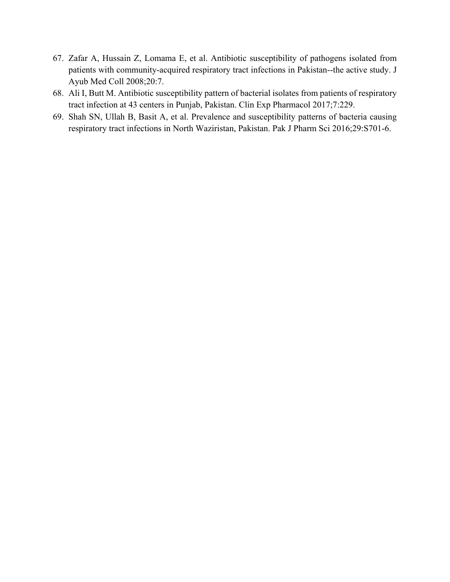- 67. Zafar A, Hussain Z, Lomama E, et al. Antibiotic susceptibility of pathogens isolated from patients with community-acquired respiratory tract infections in Pakistan--the active study. J Ayub Med Coll 2008;20:7.
- 68. Ali I, Butt M. Antibiotic susceptibility pattern of bacterial isolates from patients of respiratory tract infection at 43 centers in Punjab, Pakistan. Clin Exp Pharmacol 2017;7:229.
- 69. Shah SN, Ullah B, Basit A, et al. Prevalence and susceptibility patterns of bacteria causing respiratory tract infections in North Waziristan, Pakistan. Pak J Pharm Sci 2016;29:S701-6.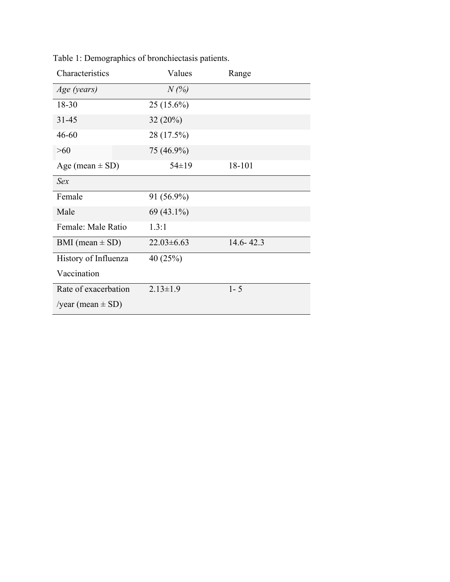| Characteristics       | Values          | Range         |
|-----------------------|-----------------|---------------|
| Age (years)           | $N(\%)$         |               |
| 18-30                 | $25(15.6\%)$    |               |
| $31 - 45$             | 32(20%)         |               |
| $46 - 60$             | 28 (17.5%)      |               |
| $>60$                 | 75 (46.9%)      |               |
| Age (mean $\pm$ SD)   | $54 \pm 19$     | 18-101        |
| Sex                   |                 |               |
| Female                | 91 (56.9%)      |               |
| Male                  | 69 (43.1%)      |               |
| Female: Male Ratio    | 1.3:1           |               |
| BMI (mean $\pm$ SD)   | $22.03\pm 6.63$ | $14.6 - 42.3$ |
| History of Influenza  | 40(25%)         |               |
| Vaccination           |                 |               |
| Rate of exacerbation  | $2.13 \pm 1.9$  | $1 - 5$       |
| /year (mean $\pm$ SD) |                 |               |

Table 1: Demographics of bronchiectasis patients.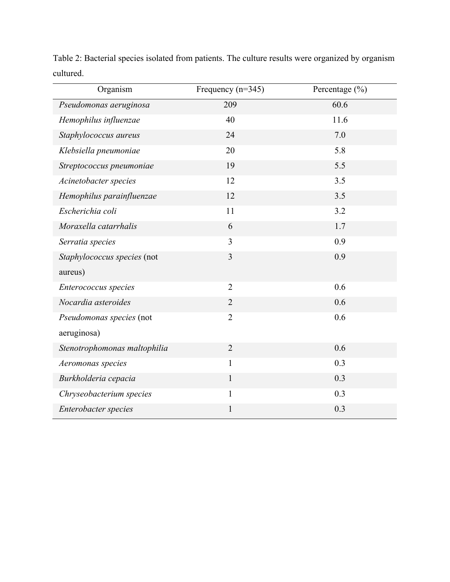| Organism                     | Frequency $(n=345)$ | Percentage $(\% )$ |
|------------------------------|---------------------|--------------------|
| Pseudomonas aeruginosa       | 209                 | 60.6               |
| Hemophilus influenzae        | 40                  | 11.6               |
| Staphylococcus aureus        | 24                  | 7.0                |
| Klebsiella pneumoniae        | 20                  | 5.8                |
| Streptococcus pneumoniae     | 19                  | 5.5                |
| Acinetobacter species        | 12                  | 3.5                |
| Hemophilus parainfluenzae    | 12                  | 3.5                |
| Escherichia coli             | 11                  | 3.2                |
| Moraxella catarrhalis        | 6                   | 1.7                |
| Serratia species             | 3                   | 0.9                |
| Staphylococcus species (not  | 3                   | 0.9                |
| aureus)                      |                     |                    |
| Enterococcus species         | $\overline{2}$      | 0.6                |
| Nocardia asteroides          | $\overline{2}$      | 0.6                |
| Pseudomonas species (not     | $\overline{2}$      | 0.6                |
| aeruginosa)                  |                     |                    |
| Stenotrophomonas maltophilia | $\overline{2}$      | 0.6                |
| Aeromonas species            | $\mathbf{1}$        | 0.3                |
| Burkholderia cepacia         | $\mathbf{1}$        | 0.3                |
| Chryseobacterium species     | $\mathbf{1}$        | 0.3                |
| Enterobacter species         | $\mathbf{1}$        | 0.3                |

Table 2: Bacterial species isolated from patients. The culture results were organized by organism cultured.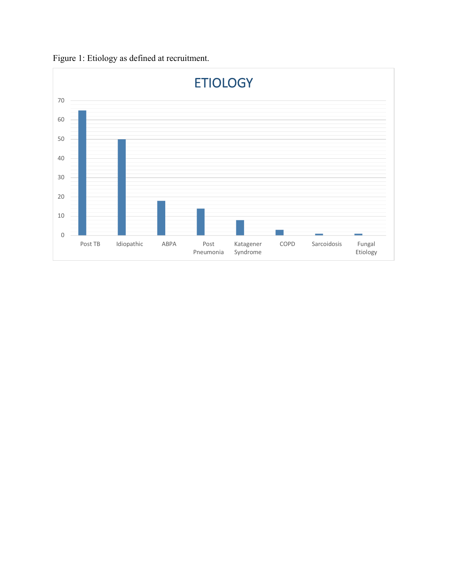

Figure 1: Etiology as defined at recruitment.